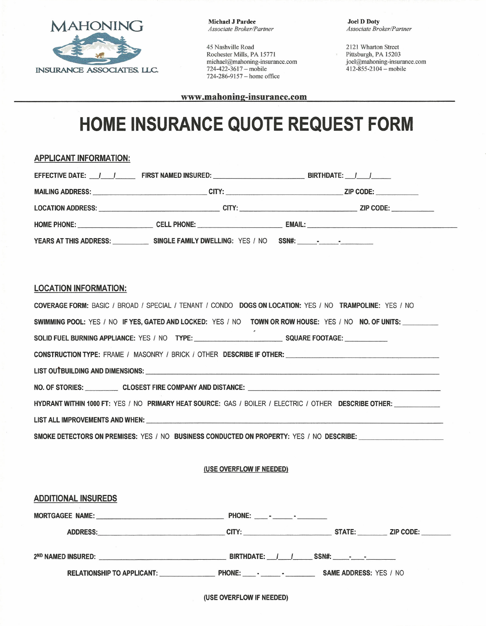

Michael J Pardee *Associate Broker/Partner*

45 Nashville Road Rochester Mills, PA 15771 michael@mahoning-insurance.com 724-422-3617 - mobile 724-286-9157 - home office

Joel D Doty *Associate Broker/Partner*

2121 Wharton Street Pittsburgh, PA 15203 joel@mahoning-insurance.com  $412 - 855 - 2104 - \text{mobile}$ 

www.mahoning-insurance.com

## **HOME INSURANCE QUOTE REQUEST FORM**

## APPLICANT INFORMATION:

|                              | YEARS AT THIS ADDRESS: SINGLE FAMILY DWELLING: YES / NO SSN#: - - - -                                          |                                                                                                               |
|------------------------------|----------------------------------------------------------------------------------------------------------------|---------------------------------------------------------------------------------------------------------------|
|                              |                                                                                                                |                                                                                                               |
| <b>LOCATION INFORMATION:</b> |                                                                                                                |                                                                                                               |
|                              |                                                                                                                | COVERAGE FORM: BASIC / BROAD / SPECIAL / TENANT / CONDO DOGS ON LOCATION: YES / NO TRAMPOLINE: YES / NO       |
|                              |                                                                                                                | SWIMMING POOL: YES / NO IF YES, GATED AND LOCKED: YES / NO TOWN OR ROW HOUSE: YES / NO NO. OF UNITS: ________ |
|                              | SOLID FUEL BURNING APPLIANCE: YES / NO TYPE: SALLY SALLY SALLY SALLY SALLY SALLY SALLY SALLY SALLY SALLY SALLY |                                                                                                               |
|                              |                                                                                                                | CONSTRUCTION TYPE: FRAME / MASONRY / BRICK / OTHER DESCRIBE IF OTHER: CONSTRUCTION TYPE: CONSTRUCTION         |
|                              |                                                                                                                |                                                                                                               |
|                              |                                                                                                                | NO. OF STORIES: CLOSEST FIRE COMPANY AND DISTANCE:                                                            |
|                              |                                                                                                                | HYDRANT WITHIN 1000 FT: YES / NO PRIMARY HEAT SOURCE: GAS / BOILER / ELECTRIC / OTHER DESCRIBE OTHER:         |
|                              |                                                                                                                |                                                                                                               |
|                              |                                                                                                                | SMOKE DETECTORS ON PREMISES: YES / NO BUSINESS CONDUCTED ON PROPERTY: YES / NO DESCRIBE: ____________________ |
|                              |                                                                                                                |                                                                                                               |
|                              | (USE OVERFLOW IF NEEDED)                                                                                       |                                                                                                               |
| <b>ADDITIONAL INSUREDS</b>   |                                                                                                                |                                                                                                               |
|                              |                                                                                                                |                                                                                                               |
|                              |                                                                                                                |                                                                                                               |
|                              |                                                                                                                |                                                                                                               |

RELATIONSHIP TO APPLICANT: \_\_\_\_\_\_\_\_\_\_\_\_\_\_\_\_\_\_\_\_\_\_\_\_\_\_\_\_\_\_\_\_\_\_\_- SAME ADDRESS: YES / NO

(USE OVERFLOW IF NEEDED)